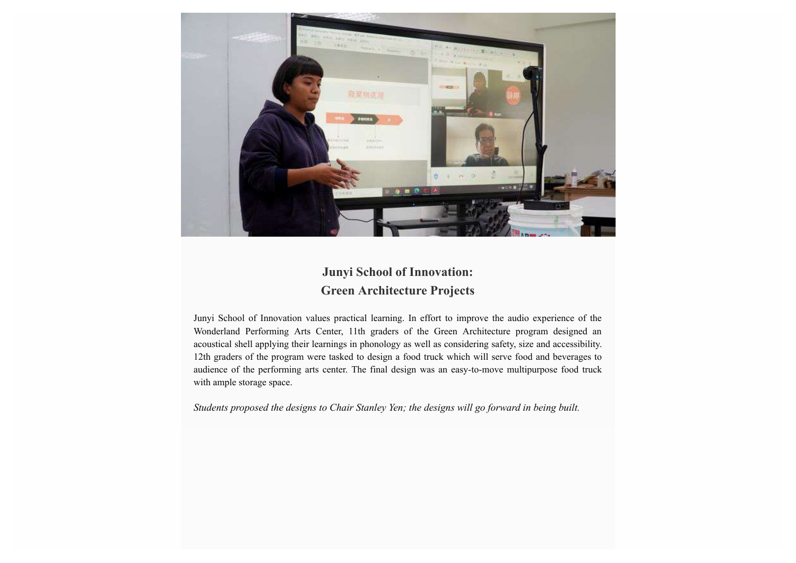

## **Junyi School of Innovation: Green Architecture Projects**

Junyi School of Innovation values practical learning. In effort to improve the audio experience of the Wonderland Performing Arts Center, 11th graders of the Green Architecture program designed an acoustical shell applying their learnings in phonology as well as considering safety, size and accessibility. 12th graders of the program were tasked to design a food truck which will serve food and beverages to audience of the performing arts center. The final design was an easy-to-move multipurpose food truck with ample storage space.

*Students proposed the designs to Chair Stanley Yen; the designs will go forward in being built.*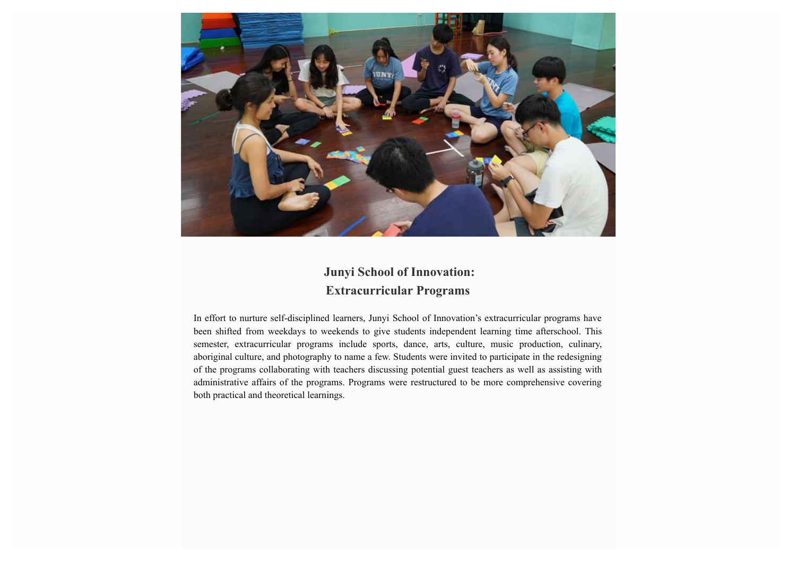

## **Junyi School of Innovation: Extracurricular Programs**

In effort to nurture self-disciplined learners, Junyi School of Innovation's extracurricular programs have been shifted from weekdays to weekends to give students independent learning time afterschool. This semester, extracurricular programs include sports, dance, arts, culture, music production, culinary, aboriginal culture, and photography to name a few. Students were invited to participate in the redesigning of the programs collaborating with teachers discussing potential guest teachers as well as assisting with administrative affairs of the programs. Programs were restructured to be more comprehensive covering both practical and theoretical learnings.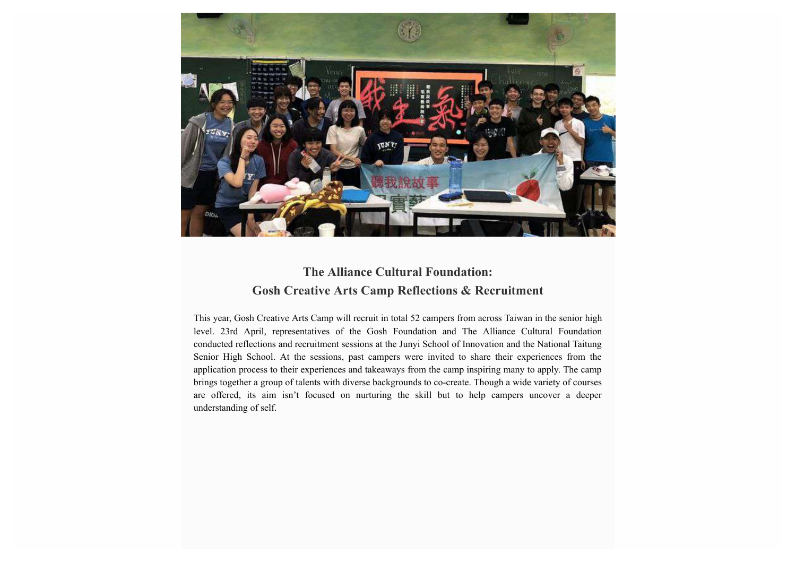

## **The Alliance Cultural Foundation: Gosh Creative Arts Camp Reflections & Recruitment**

This year, Gosh Creative Arts Camp will recruit in total 52 campers from across Taiwan in the senior high level. 23rd April, representatives of the Gosh Foundation and The Alliance Cultural Foundation conducted reflections and recruitment sessions at the Junyi School of Innovation and the National Taitung Senior High School. At the sessions, past campers were invited to share their experiences from the application process to their experiences and takeaways from the camp inspiring many to apply. The camp brings together a group of talents with diverse backgrounds to co-create. Though a wide variety of courses are offered, its aim isn't focused on nurturing the skill but to help campers uncover a deeper understanding of self.